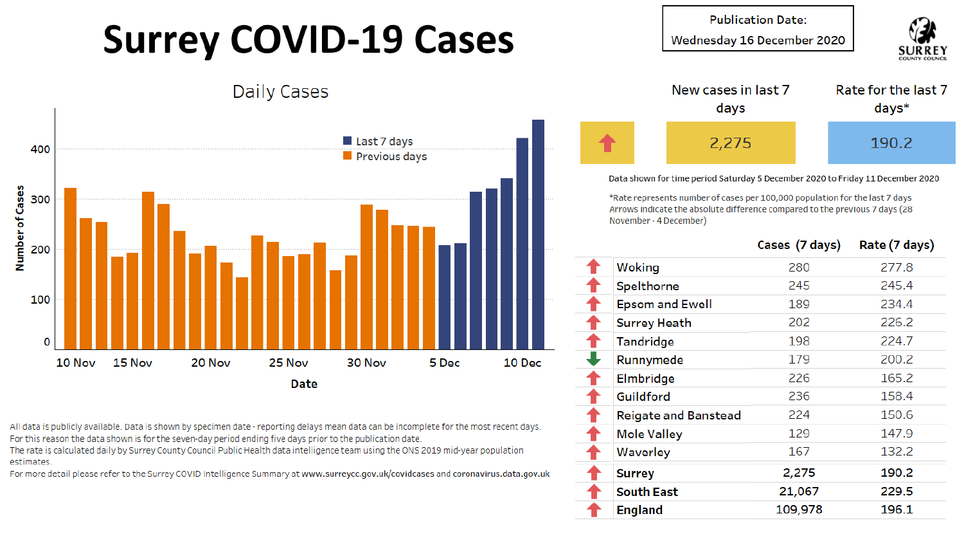## **Surrey COVID-19 Cases**

**Publication Date:** 

Wednesday 16 December 2020





All data is publicly available. Data is shown by specimen date - reporting delays mean data can be incomplete for the most recent days. For this reason the data shown is for the seven-day period ending five days prior to the publication date.

The rate is calculated daily by Surrey County Council Public Health data intelligence team using the ONS 2019 mid-year population estimates.

For more detail please refer to the Surrey COVID Intelligence Summary at www.surreycc.gov.uk/covidcases and coronavirus.data.gov.uk



Data shown for time period Saturday 5 December 2020 to Friday 11 December 2020

\*Rate represents number of cases per 100,000 population for the last 7 days Arrows indicate the absolute difference compared to the previous 7 days (28 November - 4 December)

|                             | Cases (7 days) | Rate (7 days) |
|-----------------------------|----------------|---------------|
| Woking                      | 280            | 277.8         |
| Spelthorne                  | 245            | 245.4         |
| <b>Epsom and Ewell</b>      | 189            | 234.4         |
| <b>Surrey Heath</b>         | 202            | 226.2         |
| Tandridge                   | 198            | 224.7         |
| Runnymede                   | 179            | 200.2         |
| Elmbridge                   | 226            | 165.2         |
| Guildford                   | 236            | 158.4         |
| <b>Reigate and Banstead</b> | 224            | 150.6         |
| <b>Mole Valley</b>          | 129            | 147.9         |
| Waverley                    | 167            | 132.2         |
| <b>Surrey</b>               | 2,275          | 190.2         |
| <b>South East</b>           | 21,067         | 229.5         |
| <b>England</b>              | 109,978        | 196.1         |
|                             |                |               |